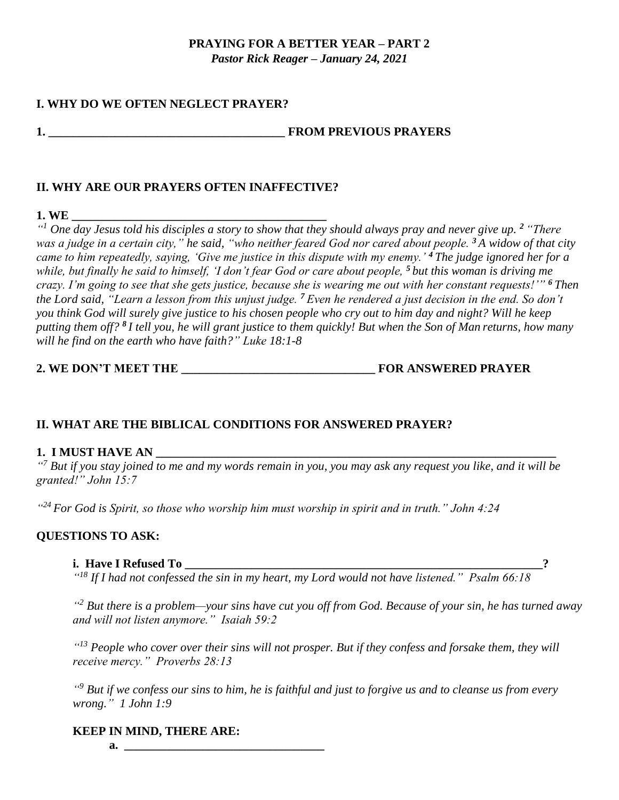# **PRAYING FOR A BETTER YEAR – PART 2**

*Pastor Rick Reager – January 24, 2021*

## **I. WHY DO WE OFTEN NEGLECT PRAYER?**

#### **1. \_\_\_\_\_\_\_\_\_\_\_\_\_\_\_\_\_\_\_\_\_\_\_\_\_\_\_\_\_\_\_\_\_\_\_\_\_\_\_ FROM PREVIOUS PRAYERS**

### **II. WHY ARE OUR PRAYERS OFTEN INAFFECTIVE?**

#### **1. WE \_\_\_\_\_\_\_\_\_\_\_\_\_\_\_\_\_\_\_\_\_\_\_\_\_\_\_\_\_\_\_\_\_\_\_\_\_\_\_\_\_\_**

*" <sup>1</sup> One day Jesus told his disciples a story to show that they should always pray and never give up. <sup>2</sup> "There was a judge in a certain city," he said, "who neither feared God nor cared about people. <sup>3</sup> A widow of that city came to him repeatedly, saying, 'Give me justice in this dispute with my enemy.' <sup>4</sup> The judge ignored her for a while, but finally he said to himself, 'I don't fear God or care about people, <sup>5</sup> but this woman is driving me crazy. I'm going to see that she gets justice, because she is wearing me out with her constant requests!'" <sup>6</sup> Then the Lord said, "Learn a lesson from this unjust judge. <sup>7</sup> Even he rendered a just decision in the end. So don't you think God will surely give justice to his chosen people who cry out to him day and night? Will he keep putting them off? <sup>8</sup> I tell you, he will grant justice to them quickly! But when the Son of Man returns, how many will he find on the earth who have faith?" Luke 18:1-8*

## **2. WE DON'T MEET THE \_\_\_\_\_\_\_\_\_\_\_\_\_\_\_\_\_\_\_\_\_\_\_\_\_\_\_\_\_\_\_\_ FOR ANSWERED PRAYER**

## **II. WHAT ARE THE BIBLICAL CONDITIONS FOR ANSWERED PRAYER?**

### **1. I MUST HAVE AN**

*" <sup>7</sup> But if you stay joined to me and my words remain in you, you may ask any request you like, and it will be granted!" John 15:7*

*" <sup>24</sup> For God is Spirit, so those who worship him must worship in spirit and in truth." John 4:24*

### **QUESTIONS TO ASK:**

#### **i. Have I Refused To \_\_\_\_\_\_\_\_\_\_\_\_\_\_\_\_\_\_\_\_\_\_\_\_\_\_\_\_\_\_\_\_\_\_\_\_\_\_\_\_\_\_\_\_\_\_\_\_\_\_\_\_\_\_\_\_\_\_\_?**

*" <sup>18</sup> If I had not confessed the sin in my heart, my Lord would not have listened." Psalm 66:18*

*" <sup>2</sup> But there is a problem—your sins have cut you off from God. Because of your sin, he has turned away and will not listen anymore." Isaiah 59:2*

*" <sup>13</sup> People who cover over their sins will not prosper. But if they confess and forsake them, they will receive mercy." Proverbs 28:13*

*" <sup>9</sup> But if we confess our sins to him, he is faithful and just to forgive us and to cleanse us from every wrong." 1 John 1:9*

#### **KEEP IN MIND, THERE ARE:**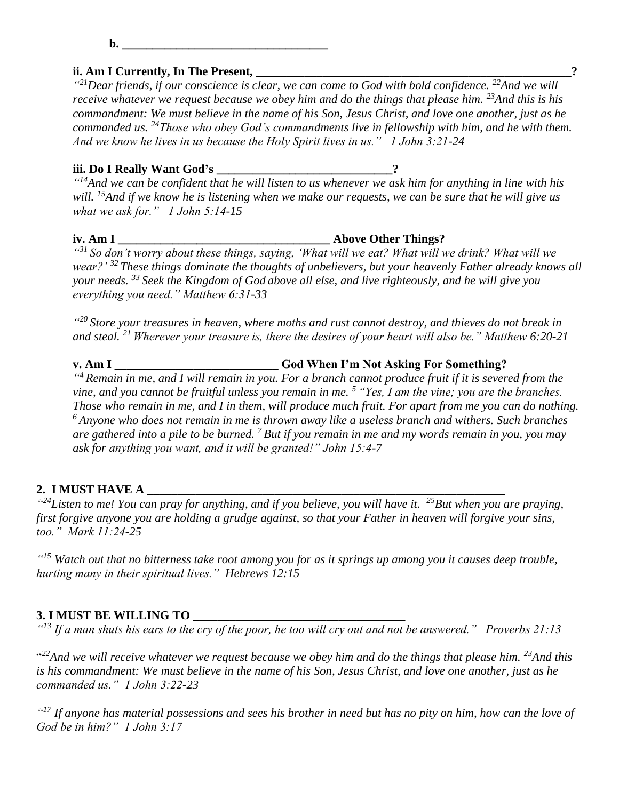**b. \_\_\_\_\_\_\_\_\_\_\_\_\_\_\_\_\_\_\_\_\_\_\_\_\_\_\_\_\_\_\_\_\_\_**

#### **ii. Am I Currently, In The Present, \_\_\_\_\_\_\_\_\_\_\_\_\_\_\_\_\_\_\_\_\_\_\_\_\_\_\_\_\_\_\_\_\_\_\_\_\_\_\_\_\_\_\_\_\_\_\_\_\_\_\_\_?**

*" <sup>21</sup>Dear friends, if our conscience is clear, we can come to God with bold confidence. <sup>22</sup>And we will receive whatever we request because we obey him and do the things that please him. <sup>23</sup>And this is his commandment: We must believe in the name of his Son, Jesus Christ, and love one another, just as he commanded us. <sup>24</sup>Those who obey God's commandments live in fellowship with him, and he with them. And we know he lives in us because the Holy Spirit lives in us." 1 John 3:21-24*

#### **iii. Do I Really Want God's \_\_\_\_\_\_\_\_\_\_\_\_\_\_\_\_\_\_\_\_\_\_\_\_\_\_\_\_\_?**

*" <sup>14</sup>And we can be confident that he will listen to us whenever we ask him for anything in line with his will. <sup>15</sup>And if we know he is listening when we make our requests, we can be sure that he will give us what we ask for." 1 John 5:14-15*

*" <sup>31</sup> So don't worry about these things, saying, 'What will we eat? What will we drink? What will we wear?' <sup>32</sup> These things dominate the thoughts of unbelievers, but your heavenly Father already knows all your needs. <sup>33</sup> Seek the Kingdom of God above all else, and live righteously, and he will give you everything you need." Matthew 6:31-33*

*" <sup>20</sup> Store your treasures in heaven, where moths and rust cannot destroy, and thieves do not break in and steal. <sup>21</sup> Wherever your treasure is, there the desires of your heart will also be." Matthew 6:20-21*

**v. Am I \_\_\_\_\_\_\_\_\_\_\_\_\_\_\_\_\_\_\_\_\_\_\_\_\_\_\_ God When I'm Not Asking For Something?** *" <sup>4</sup> Remain in me, and I will remain in you. For a branch cannot produce fruit if it is severed from the vine, and you cannot be fruitful unless you remain in me. <sup>5</sup> "Yes, I am the vine; you are the branches. Those who remain in me, and I in them, will produce much fruit. For apart from me you can do nothing. <sup>6</sup> Anyone who does not remain in me is thrown away like a useless branch and withers. Such branches are gathered into a pile to be burned. <sup>7</sup> But if you remain in me and my words remain in you, you may ask for anything you want, and it will be granted!" John 15:4-7*

#### **2. I MUST HAVE A \_\_\_\_\_\_\_\_\_\_\_\_\_\_\_\_\_\_\_\_\_\_\_\_\_\_\_\_\_\_\_\_\_\_\_\_\_\_\_\_\_\_\_\_\_\_\_\_\_\_\_\_\_\_\_\_\_\_\_**

*" <sup>24</sup>Listen to me! You can pray for anything, and if you believe, you will have it. <sup>25</sup>But when you are praying, first forgive anyone you are holding a grudge against, so that your Father in heaven will forgive your sins, too." Mark 11:24-25*

*" <sup>15</sup> Watch out that no bitterness take root among you for as it springs up among you it causes deep trouble, hurting many in their spiritual lives." Hebrews 12:15*

#### **3. I MUST BE WILLING TO \_\_\_\_\_\_\_\_\_\_\_\_\_\_\_\_\_\_\_\_\_\_\_\_\_\_\_\_\_\_\_\_\_\_\_**

*" <sup>13</sup> If a man shuts his ears to the cry of the poor, he too will cry out and not be answered." Proverbs 21:13* 

<sup>422</sup> And we will receive whatever we request because we obey him and do the things that please him. <sup>23</sup> And this *is his commandment: We must believe in the name of his Son, Jesus Christ, and love one another, just as he commanded us." 1 John 3:22-23*

<sup>"17</sup> If anyone has material possessions and sees his brother in need but has no pity on him, how can the love of *God be in him?" 1 John 3:17*

#### **iv. Am I \_\_\_\_\_\_\_\_\_\_\_\_\_\_\_\_\_\_\_\_\_\_\_\_\_\_\_\_\_\_\_\_\_\_\_ Above Other Things?**